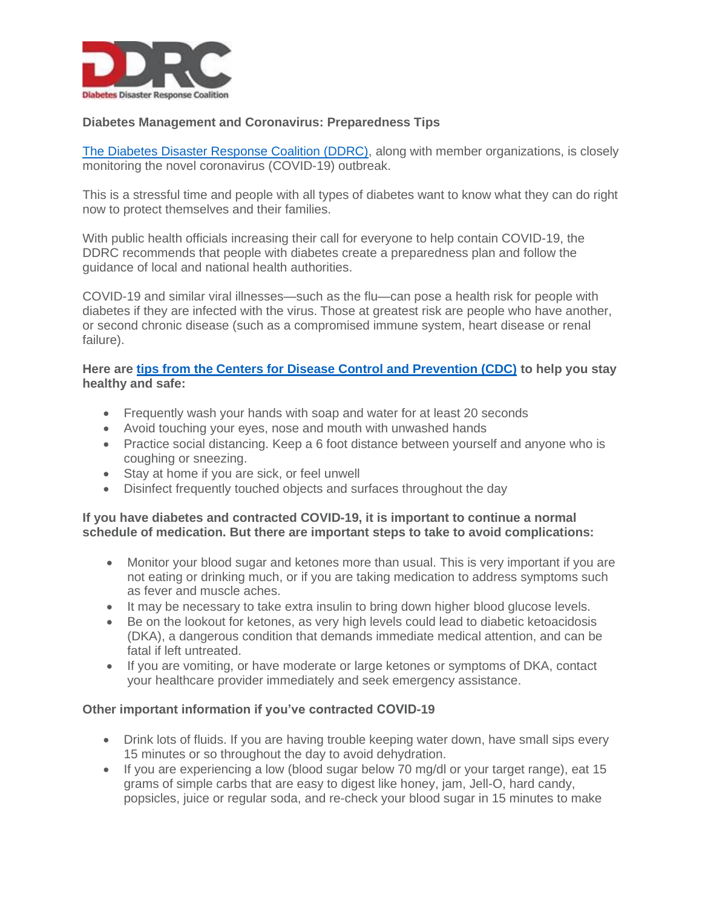

# **Diabetes Management and Coronavirus: Preparedness Tips**

[The Diabetes Disaster Response Coalition \(DDRC\),](https://www.diabetesdisasterresponse.org/) along with member organizations, is closely monitoring the novel coronavirus (COVID-19) outbreak.

This is a stressful time and people with all types of diabetes want to know what they can do right now to protect themselves and their families.

With public health officials increasing their call for everyone to help contain COVID-19, the DDRC recommends that people with diabetes create a preparedness plan and follow the guidance of local and national health authorities.

COVID-19 and similar viral illnesses—such as the flu—can pose a health risk for people with diabetes if they are infected with the virus. Those at greatest risk are people who have another, or second chronic disease (such as a compromised immune system, heart disease or renal failure).

# **Here are [tips from the Centers for Disease Control and Prevention \(CDC\)](https://www.cdc.gov/coronavirus/2019-ncov/prepare/prevention.html) to help you stay healthy and safe:**

- Frequently wash your hands with soap and water for at least 20 seconds
- Avoid touching your eyes, nose and mouth with unwashed hands
- Practice social distancing. Keep a 6 foot distance between yourself and anyone who is coughing or sneezing.
- Stay at home if you are sick, or feel unwell
- Disinfect frequently touched objects and surfaces throughout the day

# **If you have diabetes and contracted COVID-19, it is important to continue a normal schedule of medication. But there are important steps to take to avoid complications:**

- Monitor your blood sugar and ketones more than usual. This is very important if you are not eating or drinking much, or if you are taking medication to address symptoms such as fever and muscle aches.
- It may be necessary to take extra insulin to bring down higher blood glucose levels.
- Be on the lookout for ketones, as very high levels could lead to diabetic ketoacidosis (DKA), a dangerous condition that demands immediate medical attention, and can be fatal if left untreated.
- If you are vomiting, or have moderate or large ketones or symptoms of DKA, contact your healthcare provider immediately and seek emergency assistance.

# **Other important information if you've contracted COVID-19**

- Drink lots of fluids. If you are having trouble keeping water down, have small sips every 15 minutes or so throughout the day to avoid dehydration.
- If you are experiencing a low (blood sugar below 70 mg/dl or your target range), eat 15 grams of simple carbs that are easy to digest like honey, jam, Jell-O, hard candy, popsicles, juice or regular soda, and re-check your blood sugar in 15 minutes to make